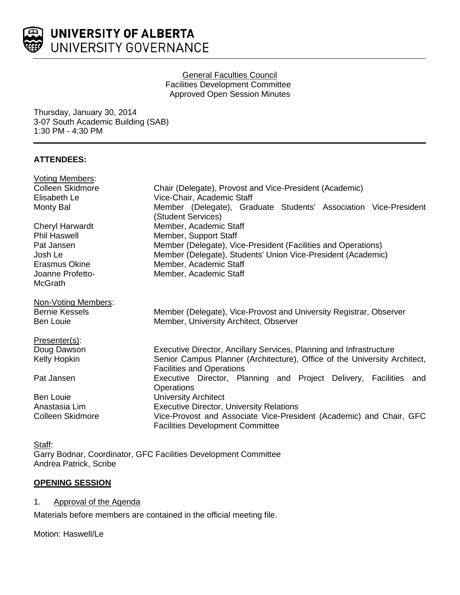

#### General Faculties Council Facilities Development Committee Approved Open Session Minutes

Thursday, January 30, 2014 3-07 South Academic Building (SAB) 1:30 PM - 4:30 PM

# **ATTENDEES:**

| <b>Voting Members:</b> |                                                                                                               |
|------------------------|---------------------------------------------------------------------------------------------------------------|
| Colleen Skidmore       | Chair (Delegate), Provost and Vice-President (Academic)                                                       |
| Elisabeth Le           | Vice-Chair, Academic Staff                                                                                    |
| Monty Bal              | Member (Delegate), Graduate Students' Association Vice-President                                              |
|                        | (Student Services)                                                                                            |
| Cheryl Harwardt        | Member, Academic Staff                                                                                        |
| <b>Phil Haswell</b>    | Member, Support Staff                                                                                         |
| Pat Jansen             | Member (Delegate), Vice-President (Facilities and Operations)                                                 |
| Josh Le                | Member (Delegate), Students' Union Vice-President (Academic)                                                  |
| Erasmus Okine          | Member, Academic Staff                                                                                        |
| Joanne Profetto-       | Member, Academic Staff                                                                                        |
| <b>McGrath</b>         |                                                                                                               |
| Non-Voting Members:    |                                                                                                               |
| <b>Bernie Kessels</b>  | Member (Delegate), Vice-Provost and University Registrar, Observer                                            |
| <b>Ben Louie</b>       | Member, University Architect, Observer                                                                        |
| Presenter(s):          |                                                                                                               |
| Doug Dawson            | Executive Director, Ancillary Services, Planning and Infrastructure                                           |
| Kelly Hopkin           | Senior Campus Planner (Architecture), Office of the University Architect,<br><b>Facilities and Operations</b> |
| Pat Jansen             | Executive Director, Planning and Project Delivery, Facilities and                                             |
|                        | Operations                                                                                                    |
| <b>Ben Louie</b>       | <b>University Architect</b>                                                                                   |
| Anastasia Lim          | <b>Executive Director, University Relations</b>                                                               |
| Colleen Skidmore       | Vice-Provost and Associate Vice-President (Academic) and Chair, GFC                                           |
|                        | <b>Facilities Development Committee</b>                                                                       |
|                        |                                                                                                               |

Staff: Garry Bodnar, Coordinator, GFC Facilities Development Committee Andrea Patrick, Scribe

# **OPENING SESSION**

1. Approval of the Agenda

Materials before members are contained in the official meeting file.

Motion: Haswell/Le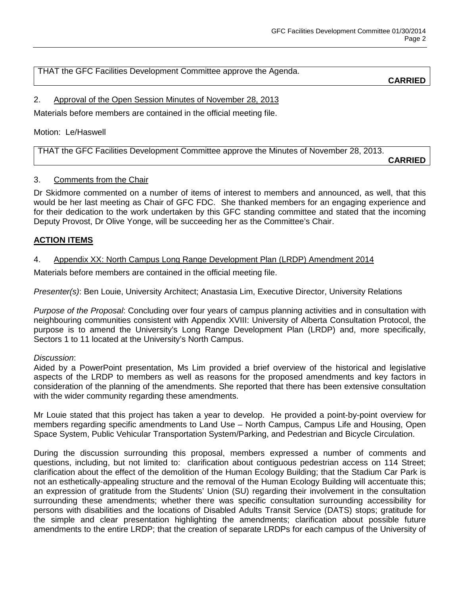THAT the GFC Facilities Development Committee approve the Agenda.

**CARRIED**

# 2. Approval of the Open Session Minutes of November 28, 2013

Materials before members are contained in the official meeting file.

### Motion: Le/Haswell

THAT the GFC Facilities Development Committee approve the Minutes of November 28, 2013.

**CARRIED**

# 3. Comments from the Chair

Dr Skidmore commented on a number of items of interest to members and announced, as well, that this would be her last meeting as Chair of GFC FDC. She thanked members for an engaging experience and for their dedication to the work undertaken by this GFC standing committee and stated that the incoming Deputy Provost, Dr Olive Yonge, will be succeeding her as the Committee's Chair.

# **ACTION ITEMS**

# 4. Appendix XX: North Campus Long Range Development Plan (LRDP) Amendment 2014

Materials before members are contained in the official meeting file.

*Presenter(s)*: Ben Louie, University Architect; Anastasia Lim, Executive Director, University Relations

*Purpose of the Proposal*: Concluding over four years of campus planning activities and in consultation with neighbouring communities consistent with Appendix XVIII: University of Alberta Consultation Protocol, the purpose is to amend the University's Long Range Development Plan (LRDP) and, more specifically, Sectors 1 to 11 located at the University's North Campus.

### *Discussion*:

Aided by a PowerPoint presentation, Ms Lim provided a brief overview of the historical and legislative aspects of the LRDP to members as well as reasons for the proposed amendments and key factors in consideration of the planning of the amendments. She reported that there has been extensive consultation with the wider community regarding these amendments.

Mr Louie stated that this project has taken a year to develop. He provided a point-by-point overview for members regarding specific amendments to Land Use – North Campus, Campus Life and Housing, Open Space System, Public Vehicular Transportation System/Parking, and Pedestrian and Bicycle Circulation.

During the discussion surrounding this proposal, members expressed a number of comments and questions, including, but not limited to: clarification about contiguous pedestrian access on 114 Street; clarification about the effect of the demolition of the Human Ecology Building; that the Stadium Car Park is not an esthetically-appealing structure and the removal of the Human Ecology Building will accentuate this; an expression of gratitude from the Students' Union (SU) regarding their involvement in the consultation surrounding these amendments; whether there was specific consultation surrounding accessibility for persons with disabilities and the locations of Disabled Adults Transit Service (DATS) stops; gratitude for the simple and clear presentation highlighting the amendments; clarification about possible future amendments to the entire LRDP; that the creation of separate LRDPs for each campus of the University of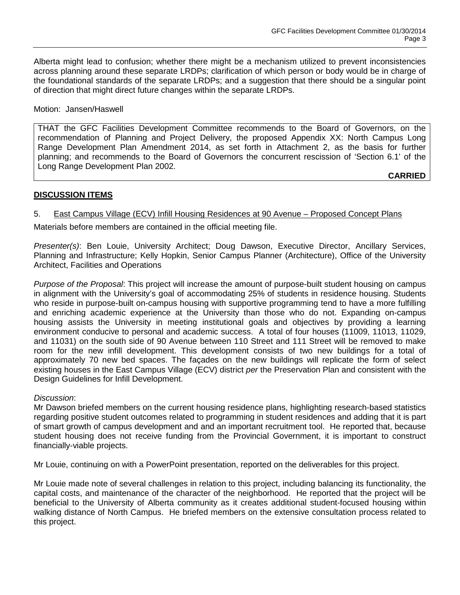Alberta might lead to confusion; whether there might be a mechanism utilized to prevent inconsistencies across planning around these separate LRDPs; clarification of which person or body would be in charge of the foundational standards of the separate LRDPs; and a suggestion that there should be a singular point of direction that might direct future changes within the separate LRDPs.

#### Motion: Jansen/Haswell

THAT the GFC Facilities Development Committee recommends to the Board of Governors, on the recommendation of Planning and Project Delivery, the proposed Appendix XX: North Campus Long Range Development Plan Amendment 2014, as set forth in Attachment 2, as the basis for further planning; and recommends to the Board of Governors the concurrent rescission of 'Section 6.1' of the Long Range Development Plan 2002.

**CARRIED**

### **DISCUSSION ITEMS**

# 5. East Campus Village (ECV) Infill Housing Residences at 90 Avenue – Proposed Concept Plans

Materials before members are contained in the official meeting file.

*Presenter(s)*: Ben Louie, University Architect; Doug Dawson, Executive Director, Ancillary Services, Planning and Infrastructure; Kelly Hopkin, Senior Campus Planner (Architecture), Office of the University Architect, Facilities and Operations

*Purpose of the Proposal*: This project will increase the amount of purpose-built student housing on campus in alignment with the University's goal of accommodating 25% of students in residence housing. Students who reside in purpose-built on-campus housing with supportive programming tend to have a more fulfilling and enriching academic experience at the University than those who do not. Expanding on-campus housing assists the University in meeting institutional goals and objectives by providing a learning environment conducive to personal and academic success. A total of four houses (11009, 11013, 11029, and 11031) on the south side of 90 Avenue between 110 Street and 111 Street will be removed to make room for the new infill development. This development consists of two new buildings for a total of approximately 70 new bed spaces. The façades on the new buildings will replicate the form of select existing houses in the East Campus Village (ECV) district *per* the Preservation Plan and consistent with the Design Guidelines for Infill Development.

### *Discussion*:

Mr Dawson briefed members on the current housing residence plans, highlighting research-based statistics regarding positive student outcomes related to programming in student residences and adding that it is part of smart growth of campus development and and an important recruitment tool. He reported that, because student housing does not receive funding from the Provincial Government, it is important to construct financially-viable projects.

Mr Louie, continuing on with a PowerPoint presentation, reported on the deliverables for this project.

Mr Louie made note of several challenges in relation to this project, including balancing its functionality, the capital costs, and maintenance of the character of the neighborhood. He reported that the project will be beneficial to the University of Alberta community as it creates additional student-focused housing within walking distance of North Campus. He briefed members on the extensive consultation process related to this project.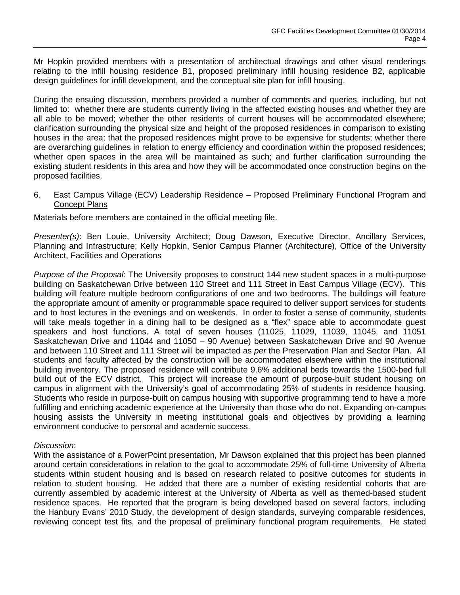Mr Hopkin provided members with a presentation of architectual drawings and other visual renderings relating to the infill housing residence B1, proposed preliminary infill housing residence B2, applicable design guidelines for infill development, and the conceptual site plan for infill housing.

During the ensuing discussion, members provided a number of comments and queries, including, but not limited to: whether there are students currently living in the affected existing houses and whether they are all able to be moved; whether the other residents of current houses will be accommodated elsewhere; clarification surrounding the physical size and height of the proposed residences in comparison to existing houses in the area; that the proposed residences might prove to be expensive for students; whether there are overarching guidelines in relation to energy efficiency and coordination within the proposed residences; whether open spaces in the area will be maintained as such; and further clarification surrounding the existing student residents in this area and how they will be accommodated once construction begins on the proposed facilities.

#### 6. East Campus Village (ECV) Leadership Residence – Proposed Preliminary Functional Program and Concept Plans

Materials before members are contained in the official meeting file.

*Presenter(s)*: Ben Louie, University Architect; Doug Dawson, Executive Director, Ancillary Services, Planning and Infrastructure; Kelly Hopkin, Senior Campus Planner (Architecture), Office of the University Architect, Facilities and Operations

*Purpose of the Proposal*: The University proposes to construct 144 new student spaces in a multi-purpose building on Saskatchewan Drive between 110 Street and 111 Street in East Campus Village (ECV). This building will feature multiple bedroom configurations of one and two bedrooms. The buildings will feature the appropriate amount of amenity or programmable space required to deliver support services for students and to host lectures in the evenings and on weekends. In order to foster a sense of community, students will take meals together in a dining hall to be designed as a "flex" space able to accommodate guest speakers and host functions. A total of seven houses (11025, 11029, 11039, 11045, and 11051 Saskatchewan Drive and 11044 and 11050 – 90 Avenue) between Saskatchewan Drive and 90 Avenue and between 110 Street and 111 Street will be impacted as *per* the Preservation Plan and Sector Plan. All students and faculty affected by the construction will be accommodated elsewhere within the institutional building inventory. The proposed residence will contribute 9.6% additional beds towards the 1500-bed full build out of the ECV district. This project will increase the amount of purpose-built student housing on campus in alignment with the University's goal of accommodating 25% of students in residence housing. Students who reside in purpose-built on campus housing with supportive programming tend to have a more fulfilling and enriching academic experience at the University than those who do not. Expanding on-campus housing assists the University in meeting institutional goals and objectives by providing a learning environment conducive to personal and academic success.

### *Discussion*:

With the assistance of a PowerPoint presentation, Mr Dawson explained that this project has been planned around certain considerations in relation to the goal to accommodate 25% of full-time University of Alberta students within student housing and is based on research related to positive outcomes for students in relation to student housing. He added that there are a number of existing residential cohorts that are currently assembled by academic interest at the University of Alberta as well as themed-based student residence spaces. He reported that the program is being developed based on several factors, including the Hanbury Evans' 2010 Study, the development of design standards, surveying comparable residences, reviewing concept test fits, and the proposal of preliminary functional program requirements. He stated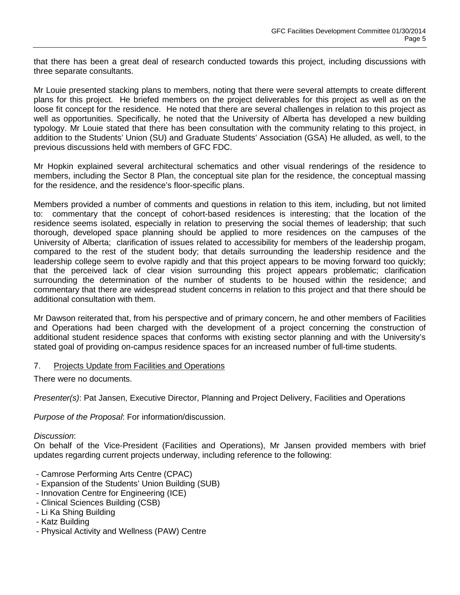that there has been a great deal of research conducted towards this project, including discussions with three separate consultants.

Mr Louie presented stacking plans to members, noting that there were several attempts to create different plans for this project. He briefed members on the project deliverables for this project as well as on the loose fit concept for the residence. He noted that there are several challenges in relation to this project as well as opportunities. Specifically, he noted that the University of Alberta has developed a new building typology. Mr Louie stated that there has been consultation with the community relating to this project, in addition to the Students' Union (SU) and Graduate Students' Association (GSA) He alluded, as well, to the previous discussions held with members of GFC FDC.

Mr Hopkin explained several architectural schematics and other visual renderings of the residence to members, including the Sector 8 Plan, the conceptual site plan for the residence, the conceptual massing for the residence, and the residence's floor-specific plans.

Members provided a number of comments and questions in relation to this item, including, but not limited to: commentary that the concept of cohort-based residences is interesting; that the location of the residence seems isolated, especially in relation to preserving the social themes of leadership; that such thorough, developed space planning should be applied to more residences on the campuses of the University of Alberta; clarification of issues related to accessibility for members of the leadership progam, compared to the rest of the student body; that details surrounding the leadership residence and the leadership college seem to evolve rapidly and that this project appears to be moving forward too quickly; that the perceived lack of clear vision surrounding this project appears problematic; clarification surrounding the determination of the number of students to be housed within the residence; and commentary that there are widespread student concerns in relation to this project and that there should be additional consultation with them.

Mr Dawson reiterated that, from his perspective and of primary concern, he and other members of Facilities and Operations had been charged with the development of a project concerning the construction of additional student residence spaces that conforms with existing sector planning and with the University's stated goal of providing on-campus residence spaces for an increased number of full-time students.

### 7. Projects Update from Facilities and Operations

There were no documents.

*Presenter(s)*: Pat Jansen, Executive Director, Planning and Project Delivery, Facilities and Operations

*Purpose of the Proposal*: For information/discussion.

*Discussion*:

On behalf of the Vice-President (Facilities and Operations), Mr Jansen provided members with brief updates regarding current projects underway, including reference to the following:

- Camrose Performing Arts Centre (CPAC)
- Expansion of the Students' Union Building (SUB)
- Innovation Centre for Engineering (ICE)
- Clinical Sciences Building (CSB)
- Li Ka Shing Building
- Katz Building
- Physical Activity and Wellness (PAW) Centre